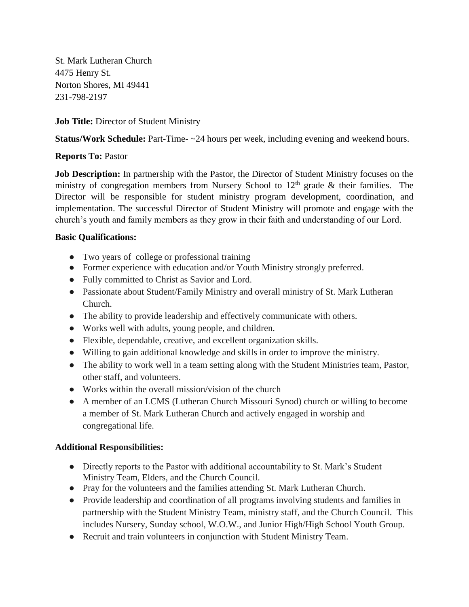St. Mark Lutheran Church 4475 Henry St. Norton Shores, MI 49441 231-798-2197

## **Job Title:** Director of Student Ministry

**Status/Work Schedule:** Part-Time- ~24 hours per week, including evening and weekend hours.

## **Reports To:** Pastor

**Job Description:** In partnership with the Pastor, the Director of Student Ministry focuses on the ministry of congregation members from Nursery School to  $12<sup>th</sup>$  grade & their families. The Director will be responsible for student ministry program development, coordination, and implementation. The successful Director of Student Ministry will promote and engage with the church's youth and family members as they grow in their faith and understanding of our Lord.

## **Basic Qualifications:**

- Two years of college or professional training
- Former experience with education and/or Youth Ministry strongly preferred.
- Fully committed to Christ as Savior and Lord.
- Passionate about Student/Family Ministry and overall ministry of St. Mark Lutheran Church.
- The ability to provide leadership and effectively communicate with others.
- Works well with adults, young people, and children.
- Flexible, dependable, creative, and excellent organization skills.
- Willing to gain additional knowledge and skills in order to improve the ministry.
- The ability to work well in a team setting along with the Student Ministries team, Pastor, other staff, and volunteers.
- Works within the overall mission/vision of the church
- A member of an LCMS (Lutheran Church Missouri Synod) church or willing to become a member of St. Mark Lutheran Church and actively engaged in worship and congregational life.

## **Additional Responsibilities:**

- Directly reports to the Pastor with additional accountability to St. Mark's Student Ministry Team, Elders, and the Church Council.
- Pray for the volunteers and the families attending St. Mark Lutheran Church.
- Provide leadership and coordination of all programs involving students and families in partnership with the Student Ministry Team, ministry staff, and the Church Council. This includes Nursery, Sunday school, W.O.W., and Junior High/High School Youth Group.
- Recruit and train volunteers in conjunction with Student Ministry Team.